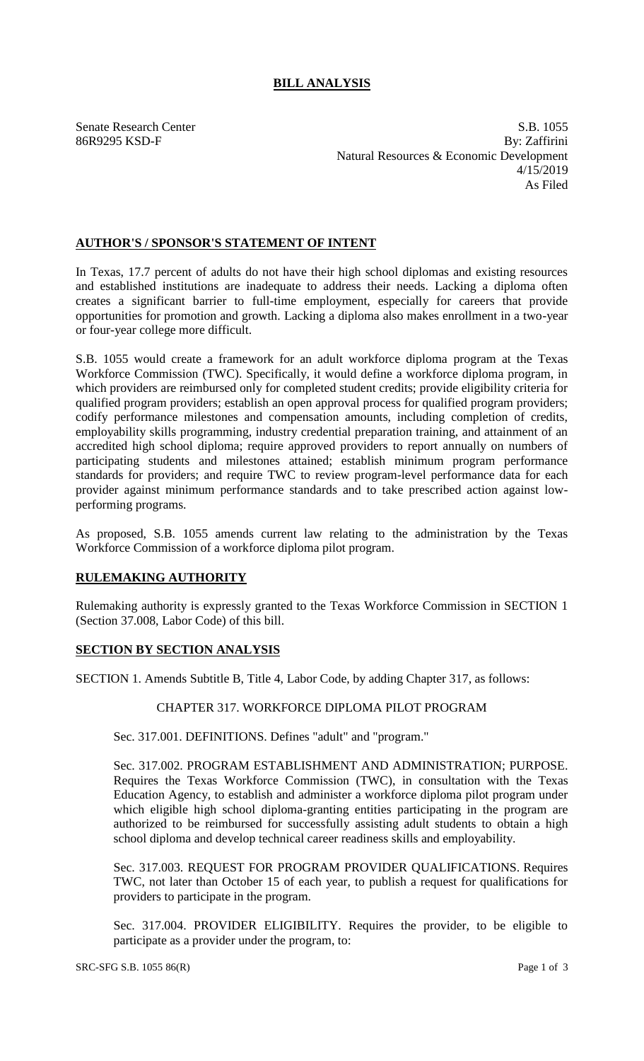# **BILL ANALYSIS**

Senate Research Center S.B. 1055 86R9295 KSD-F By: Zaffirini Natural Resources & Economic Development 4/15/2019 As Filed

## **AUTHOR'S / SPONSOR'S STATEMENT OF INTENT**

In Texas, 17.7 percent of adults do not have their high school diplomas and existing resources and established institutions are inadequate to address their needs. Lacking a diploma often creates a significant barrier to full-time employment, especially for careers that provide opportunities for promotion and growth. Lacking a diploma also makes enrollment in a two-year or four-year college more difficult.

S.B. 1055 would create a framework for an adult workforce diploma program at the Texas Workforce Commission (TWC). Specifically, it would define a workforce diploma program, in which providers are reimbursed only for completed student credits; provide eligibility criteria for qualified program providers; establish an open approval process for qualified program providers; codify performance milestones and compensation amounts, including completion of credits, employability skills programming, industry credential preparation training, and attainment of an accredited high school diploma; require approved providers to report annually on numbers of participating students and milestones attained; establish minimum program performance standards for providers; and require TWC to review program-level performance data for each provider against minimum performance standards and to take prescribed action against lowperforming programs.

As proposed, S.B. 1055 amends current law relating to the administration by the Texas Workforce Commission of a workforce diploma pilot program.

### **RULEMAKING AUTHORITY**

Rulemaking authority is expressly granted to the Texas Workforce Commission in SECTION 1 (Section 37.008, Labor Code) of this bill.

### **SECTION BY SECTION ANALYSIS**

SECTION 1. Amends Subtitle B, Title 4, Labor Code, by adding Chapter 317, as follows:

### CHAPTER 317. WORKFORCE DIPLOMA PILOT PROGRAM

Sec. 317.001. DEFINITIONS. Defines "adult" and "program."

Sec. 317.002. PROGRAM ESTABLISHMENT AND ADMINISTRATION; PURPOSE. Requires the Texas Workforce Commission (TWC), in consultation with the Texas Education Agency, to establish and administer a workforce diploma pilot program under which eligible high school diploma-granting entities participating in the program are authorized to be reimbursed for successfully assisting adult students to obtain a high school diploma and develop technical career readiness skills and employability.

Sec. 317.003. REQUEST FOR PROGRAM PROVIDER QUALIFICATIONS. Requires TWC, not later than October 15 of each year, to publish a request for qualifications for providers to participate in the program.

Sec. 317.004. PROVIDER ELIGIBILITY. Requires the provider, to be eligible to participate as a provider under the program, to: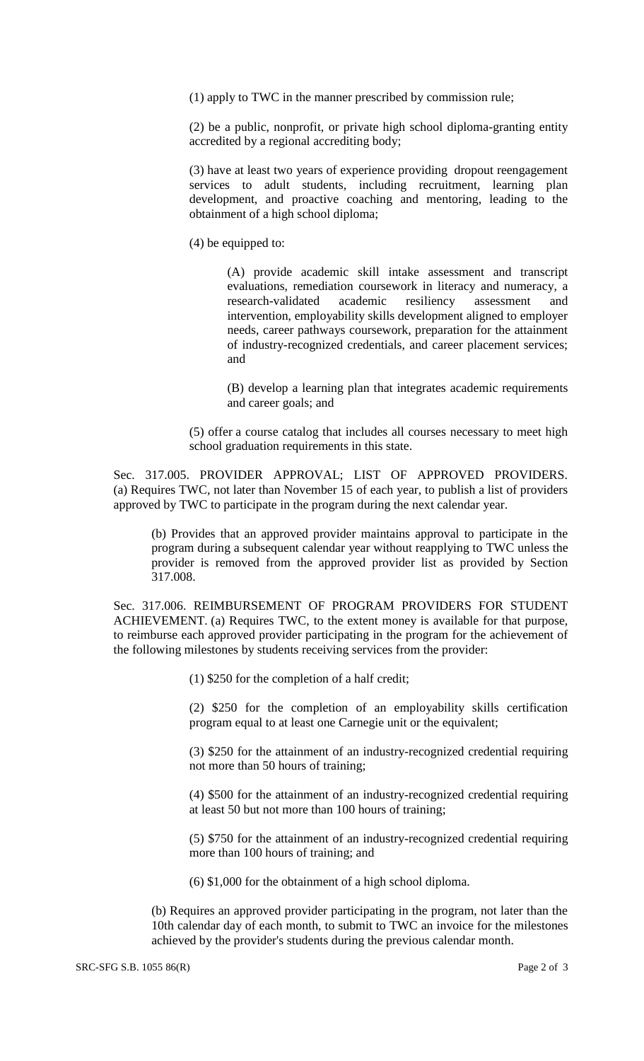(1) apply to TWC in the manner prescribed by commission rule;

(2) be a public, nonprofit, or private high school diploma-granting entity accredited by a regional accrediting body;

(3) have at least two years of experience providing dropout reengagement services to adult students, including recruitment, learning plan development, and proactive coaching and mentoring, leading to the obtainment of a high school diploma;

(4) be equipped to:

(A) provide academic skill intake assessment and transcript evaluations, remediation coursework in literacy and numeracy, a research-validated academic resiliency assessment and intervention, employability skills development aligned to employer needs, career pathways coursework, preparation for the attainment of industry-recognized credentials, and career placement services; and

(B) develop a learning plan that integrates academic requirements and career goals; and

(5) offer a course catalog that includes all courses necessary to meet high school graduation requirements in this state.

Sec. 317.005. PROVIDER APPROVAL; LIST OF APPROVED PROVIDERS. (a) Requires TWC, not later than November 15 of each year, to publish a list of providers approved by TWC to participate in the program during the next calendar year.

(b) Provides that an approved provider maintains approval to participate in the program during a subsequent calendar year without reapplying to TWC unless the provider is removed from the approved provider list as provided by Section 317.008.

Sec. 317.006. REIMBURSEMENT OF PROGRAM PROVIDERS FOR STUDENT ACHIEVEMENT. (a) Requires TWC, to the extent money is available for that purpose, to reimburse each approved provider participating in the program for the achievement of the following milestones by students receiving services from the provider:

(1) \$250 for the completion of a half credit;

(2) \$250 for the completion of an employability skills certification program equal to at least one Carnegie unit or the equivalent;

(3) \$250 for the attainment of an industry-recognized credential requiring not more than 50 hours of training;

(4) \$500 for the attainment of an industry-recognized credential requiring at least 50 but not more than 100 hours of training;

(5) \$750 for the attainment of an industry-recognized credential requiring more than 100 hours of training; and

(6) \$1,000 for the obtainment of a high school diploma.

(b) Requires an approved provider participating in the program, not later than the 10th calendar day of each month, to submit to TWC an invoice for the milestones achieved by the provider's students during the previous calendar month.